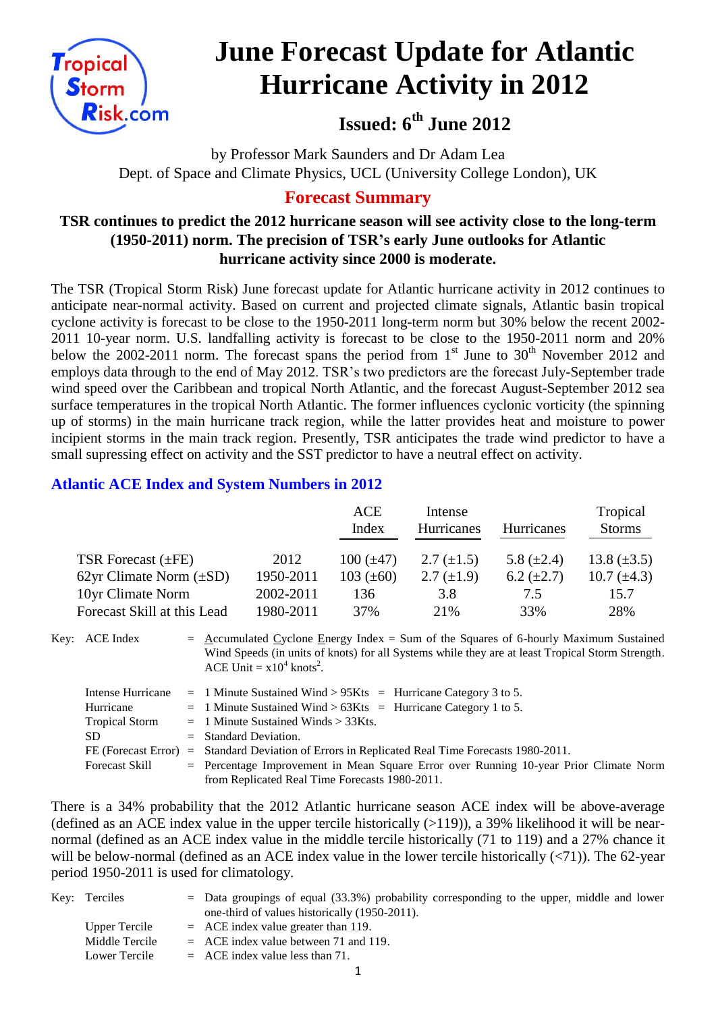

# **June Forecast Update for Atlantic Hurricane Activity in 2012**

**Issued: 6 th June 2012**

by Professor Mark Saunders and Dr Adam Lea Dept. of Space and Climate Physics, UCL (University College London), UK

# **Forecast Summary**

# **TSR continues to predict the 2012 hurricane season will see activity close to the long-term (1950-2011) norm. The precision of TSR's early June outlooks for Atlantic hurricane activity since 2000 is moderate.**

The TSR (Tropical Storm Risk) June forecast update for Atlantic hurricane activity in 2012 continues to anticipate near-normal activity. Based on current and projected climate signals, Atlantic basin tropical cyclone activity is forecast to be close to the 1950-2011 long-term norm but 30% below the recent 2002- 2011 10-year norm. U.S. landfalling activity is forecast to be close to the 1950-2011 norm and 20% below the 2002-2011 norm. The forecast spans the period from  $1<sup>st</sup>$  June to 30<sup>th</sup> November 2012 and employs data through to the end of May 2012. TSR's two predictors are the forecast July-September trade wind speed over the Caribbean and tropical North Atlantic, and the forecast August-September 2012 sea surface temperatures in the tropical North Atlantic. The former influences cyclonic vorticity (the spinning up of storms) in the main hurricane track region, while the latter provides heat and moisture to power incipient storms in the main track region. Presently, TSR anticipates the trade wind predictor to have a small supressing effect on activity and the SST predictor to have a neutral effect on activity.

# **Atlantic ACE Index and System Numbers in 2012**

|                              |           | <b>ACE</b><br>Index | Intense<br>Hurricanes | Hurricanes        | Tropical<br><b>Storms</b> |
|------------------------------|-----------|---------------------|-----------------------|-------------------|---------------------------|
| TSR Forecast $(\pm FE)$      | 2012      | $100 (\pm 47)$      | $2.7 \ (\pm 1.5)$     | 5.8 $(\pm 2.4)$   | 13.8 $(\pm 3.5)$          |
| 62yr Climate Norm $(\pm SD)$ | 1950-2011 | $103 (\pm 60)$      | 2.7 $(\pm 1.9)$       | $6.2 \ (\pm 2.7)$ | 10.7 $(\pm 4.3)$          |
| 10yr Climate Norm            | 2002-2011 | 136                 | 3.8                   | 7.5               | 15.7                      |
| Forecast Skill at this Lead  | 1980-2011 | 37%                 | 21\%                  | 33%               | 28%                       |

Key: ACE Index =  $\triangle$ ccumulated Cyclone Energy Index = Sum of the Squares of 6-hourly Maximum Sustained Wind Speeds (in units of knots) for all Systems while they are at least Tropical Storm Strength. ACE Unit =  $x10^4$  knots<sup>2</sup>.

| Intense Hurricane     | $=$ 1 Minute Sustained Wind > 95Kts $=$ Hurricane Category 3 to 5.                      |
|-----------------------|-----------------------------------------------------------------------------------------|
| Hurricane             | $=$ 1 Minute Sustained Wind > 63Kts = Hurricane Category 1 to 5.                        |
| <b>Tropical Storm</b> | $=$ 1 Minute Sustained Winds $>$ 33Kts.                                                 |
| SD.                   | $=$ Standard Deviation.                                                                 |
| FE (Forecast Error)   | $=$ Standard Deviation of Errors in Replicated Real Time Forecasts 1980-2011.           |
| <b>Forecast Skill</b> | $=$ Percentage Improvement in Mean Square Error over Running 10-year Prior Climate Norm |
|                       | from Replicated Real Time Forecasts 1980-2011.                                          |

There is a 34% probability that the 2012 Atlantic hurricane season ACE index will be above-average (defined as an ACE index value in the upper tercile historically  $(>119)$ ), a 39% likelihood it will be nearnormal (defined as an ACE index value in the middle tercile historically (71 to 119) and a 27% chance it will be below-normal (defined as an ACE index value in the lower tercile historically  $(\langle 71 \rangle)$ ). The 62-year period 1950-2011 is used for climatology.

| Key: Terciles  | $=$ Data groupings of equal (33.3%) probability corresponding to the upper, middle and lower |
|----------------|----------------------------------------------------------------------------------------------|
|                | one-third of values historically (1950-2011).                                                |
| Upper Tercile  | $=$ ACE index value greater than 119.                                                        |
| Middle Tercile | $=$ ACE index value between 71 and 119.                                                      |
| Lower Tercile  | $=$ ACE index value less than 71.                                                            |
|                |                                                                                              |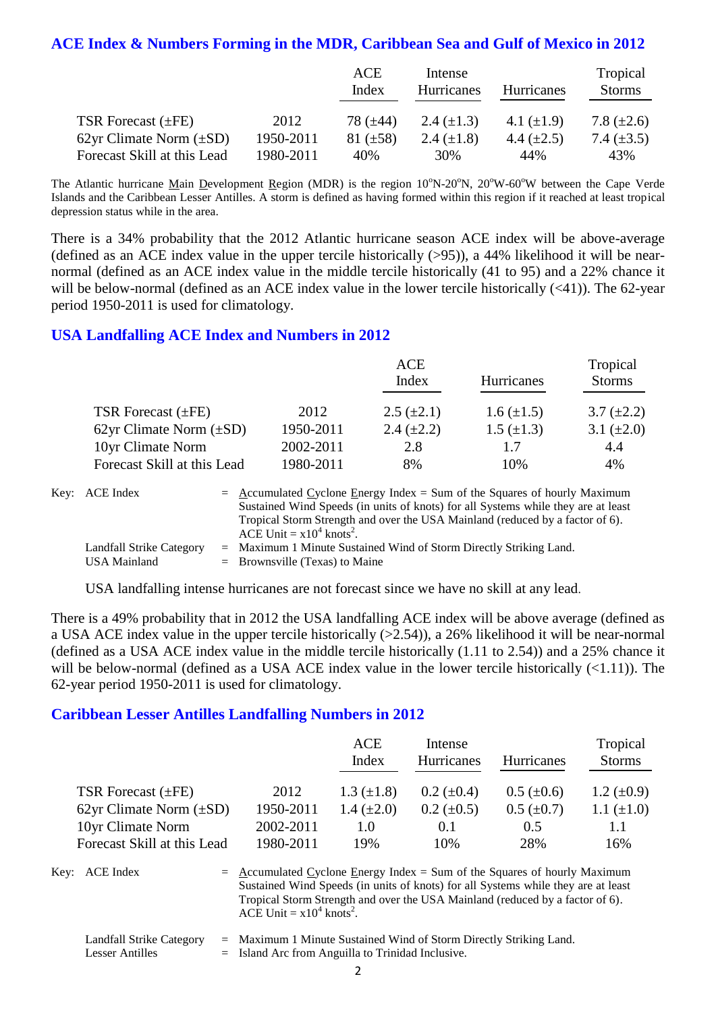## **ACE Index & Numbers Forming in the MDR, Caribbean Sea and Gulf of Mexico in 2012**

|                              |           | ACE<br>Index  | Intense<br>Hurricanes | <b>Hurricanes</b> | Tropical<br><b>Storms</b> |
|------------------------------|-----------|---------------|-----------------------|-------------------|---------------------------|
| TSR Forecast $(\pm FE)$      | 2012      | 78 $(\pm 44)$ | 2.4 $(\pm 1.3)$       | 4.1 $(\pm 1.9)$   | 7.8 $(\pm 2.6)$           |
| 62yr Climate Norm $(\pm SD)$ | 1950-2011 | $81 (\pm 58)$ | 2.4 $(\pm 1.8)$       | 4.4 $(\pm 2.5)$   | 7.4 $(\pm 3.5)$           |
| Forecast Skill at this Lead  | 1980-2011 | 40%           | 30%                   | 44%               | 43%                       |

The Atlantic hurricane Main Development Region (MDR) is the region  $10^{\circ}N-20^{\circ}N$ ,  $20^{\circ}W-60^{\circ}W$  between the Cape Verde Islands and the Caribbean Lesser Antilles. A storm is defined as having formed within this region if it reached at least tropical depression status while in the area.

There is a 34% probability that the 2012 Atlantic hurricane season ACE index will be above-average (defined as an ACE index value in the upper tercile historically (>95)), a 44% likelihood it will be nearnormal (defined as an ACE index value in the middle tercile historically (41 to 95) and a 22% chance it will be below-normal (defined as an ACE index value in the lower tercile historically  $(\leq 41)$ ). The 62-year period 1950-2011 is used for climatology.

#### **USA Landfalling ACE Index and Numbers in 2012**

|                              |           | <b>ACE</b>        | Tropical          |                   |
|------------------------------|-----------|-------------------|-------------------|-------------------|
|                              |           | Index             | <b>Hurricanes</b> | <b>Storms</b>     |
| TSR Forecast $(\pm FE)$      | 2012      | $2.5 \ (\pm 2.1)$ | $1.6 (\pm 1.5)$   | $3.7 \ (\pm 2.2)$ |
| 62yr Climate Norm $(\pm SD)$ | 1950-2011 | 2.4 $(\pm 2.2)$   | $1.5 \ (\pm 1.3)$ | 3.1 $(\pm 2.0)$   |
| 10yr Climate Norm            | 2002-2011 | 2.8               | 1.7               | 4.4               |
| Forecast Skill at this Lead  | 1980-2011 | 8%                | 10%               | 4%                |

| Key: ACE Index                           | $=$ Accumulated Cyclone Energy Index $=$ Sum of the Squares of hourly Maximum<br>Sustained Wind Speeds (in units of knots) for all Systems while they are at least<br>Tropical Storm Strength and over the USA Mainland (reduced by a factor of 6).<br>ACE Unit $= x10^4$ knots <sup>2</sup> . |
|------------------------------------------|------------------------------------------------------------------------------------------------------------------------------------------------------------------------------------------------------------------------------------------------------------------------------------------------|
| Landfall Strike Category<br>USA Mainland | $=$ Maximum 1 Minute Sustained Wind of Storm Directly Striking Land.<br>$=$ Brownsville (Texas) to Maine                                                                                                                                                                                       |

USA landfalling intense hurricanes are not forecast since we have no skill at any lead.

There is a 49% probability that in 2012 the USA landfalling ACE index will be above average (defined as a USA ACE index value in the upper tercile historically (>2.54)), a 26% likelihood it will be near-normal (defined as a USA ACE index value in the middle tercile historically (1.11 to 2.54)) and a 25% chance it will be below-normal (defined as a USA ACE index value in the lower tercile historically  $(\langle 1.11 \rangle)$ ). The 62-year period 1950-2011 is used for climatology.

#### **Caribbean Lesser Antilles Landfalling Numbers in 2012**

|                              |           | <b>ACE</b><br>Index | Intense<br>Hurricanes | <b>Hurricanes</b> | Tropical<br><b>Storms</b> |
|------------------------------|-----------|---------------------|-----------------------|-------------------|---------------------------|
| TSR Forecast $(\pm FE)$      | 2012      | $1.3 \ (\pm 1.8)$   | $0.2~(\pm 0.4)$       | $0.5 (\pm 0.6)$   | $1.2 \ (\pm 0.9)$         |
| 62yr Climate Norm $(\pm SD)$ | 1950-2011 | 1.4 $(\pm 2.0)$     | $0.2 \ (\pm 0.5)$     | $0.5 \ (\pm 0.7)$ | 1.1 $(\pm 1.0)$           |
| 10yr Climate Norm            | 2002-2011 | 1.0                 | 0.1                   | 0.5               | 1.1                       |
| Forecast Skill at this Lead  | 1980-2011 | 19%                 | 10%                   | 28%               | 16%                       |

Key:  $ACE Index = Accumulated Cyclone Energy Index = Sum of the Squares of hourly Maximum$ Sustained Wind Speeds (in units of knots) for all Systems while they are at least Tropical Storm Strength and over the USA Mainland (reduced by a factor of 6). ACE Unit =  $x10^4$  knots<sup>2</sup>.

| Landfall Strike Category | = Maximum 1 Minute Sustained Wind of Storm Directly Striking Land. |
|--------------------------|--------------------------------------------------------------------|
| Lesser Antilles          | $=$ Island Arc from Anguilla to Trinidad Inclusive.                |

2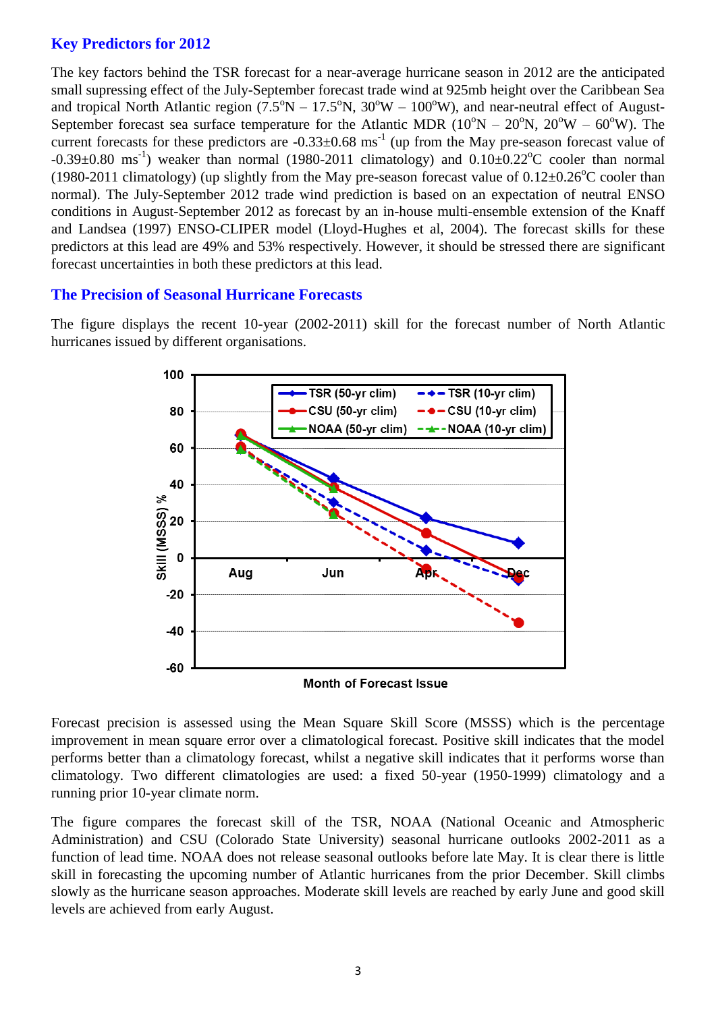## **Key Predictors for 2012**

The key factors behind the TSR forecast for a near-average hurricane season in 2012 are the anticipated small supressing effect of the July-September forecast trade wind at 925mb height over the Caribbean Sea and tropical North Atlantic region  $(7.5^{\circ}N - 17.5^{\circ}N, 30^{\circ}W - 100^{\circ}W)$ , and near-neutral effect of August-September forecast sea surface temperature for the Atlantic MDR  $(10^{\circ}N - 20^{\circ}N, 20^{\circ}W - 60^{\circ}W)$ . The current forecasts for these predictors are  $-0.33\pm0.68$  ms<sup>-1</sup> (up from the May pre-season forecast value of  $-0.39\pm0.80$  ms<sup>-1</sup>) weaker than normal (1980-2011 climatology) and  $0.10\pm0.22$ °C cooler than normal (1980-2011 climatology) (up slightly from the May pre-season forecast value of  $0.12 \pm 0.26$ °C cooler than normal). The July-September 2012 trade wind prediction is based on an expectation of neutral ENSO conditions in August-September 2012 as forecast by an in-house multi-ensemble extension of the Knaff and Landsea (1997) ENSO-CLIPER model (Lloyd-Hughes et al, 2004). The forecast skills for these predictors at this lead are 49% and 53% respectively. However, it should be stressed there are significant forecast uncertainties in both these predictors at this lead.

## **The Precision of Seasonal Hurricane Forecasts**

The figure displays the recent 10-year (2002-2011) skill for the forecast number of North Atlantic hurricanes issued by different organisations.



**Month of Forecast Issue** 

Forecast precision is assessed using the Mean Square Skill Score (MSSS) which is the percentage improvement in mean square error over a climatological forecast. Positive skill indicates that the model performs better than a climatology forecast, whilst a negative skill indicates that it performs worse than climatology. Two different climatologies are used: a fixed 50-year (1950-1999) climatology and a running prior 10-year climate norm.

The figure compares the forecast skill of the TSR, NOAA (National Oceanic and Atmospheric Administration) and CSU (Colorado State University) seasonal hurricane outlooks 2002-2011 as a function of lead time. NOAA does not release seasonal outlooks before late May. It is clear there is little skill in forecasting the upcoming number of Atlantic hurricanes from the prior December. Skill climbs slowly as the hurricane season approaches. Moderate skill levels are reached by early June and good skill levels are achieved from early August.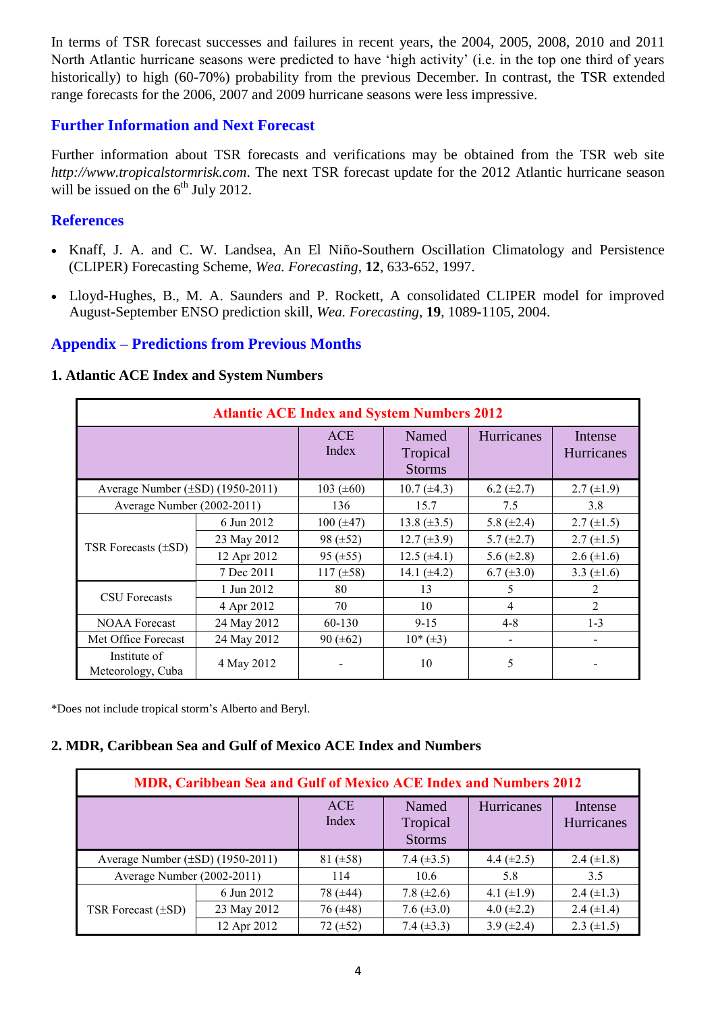In terms of TSR forecast successes and failures in recent years, the 2004, 2005, 2008, 2010 and 2011 North Atlantic hurricane seasons were predicted to have 'high activity' (i.e. in the top one third of years historically) to high (60-70%) probability from the previous December. In contrast, the TSR extended range forecasts for the 2006, 2007 and 2009 hurricane seasons were less impressive.

#### **Further Information and Next Forecast**

Further information about TSR forecasts and verifications may be obtained from the TSR web site *http://www.tropicalstormrisk.com*. The next TSR forecast update for the 2012 Atlantic hurricane season will be issued on the  $6<sup>th</sup>$  July 2012.

## **References**

- Knaff, J. A. and C. W. Landsea, An El Niño-Southern Oscillation Climatology and Persistence (CLIPER) Forecasting Scheme, *Wea. Forecasting*, **12**, 633-652, 1997.
- [Lloyd-Hughes, B., M. A. Saunders and P. Rockett, A consolidated CLIPER model for improved](http://www.tropicalstormrisk.com/docs/Lloyd-Hughesetal2004.pdf)  [August-September ENSO prediction skill,](http://www.tropicalstormrisk.com/docs/Lloyd-Hughesetal2004.pdf) *Wea. Forecasting*, **19**, 1089-1105, 2004.

## **Appendix – Predictions from Previous Months**

#### **1. Atlantic ACE Index and System Numbers**

| <b>Atlantic ACE Index and System Numbers 2012</b> |             |                     |                                    |                 |                       |  |  |
|---------------------------------------------------|-------------|---------------------|------------------------------------|-----------------|-----------------------|--|--|
|                                                   |             | <b>ACE</b><br>Index | Named<br>Tropical<br><b>Storms</b> | Hurricanes      | Intense<br>Hurricanes |  |  |
| Average Number $(\pm SD)$ (1950-2011)             |             | 103 $(\pm 60)$      | $10.7 (\pm 4.3)$                   | 6.2 $(\pm 2.7)$ | $2.7 (\pm 1.9)$       |  |  |
| Average Number (2002-2011)                        |             | 136                 | 15.7                               | 7.5             | 3.8                   |  |  |
|                                                   | 6 Jun 2012  | $100 (\pm 47)$      | 13.8 $(\pm 3.5)$                   | 5.8 $(\pm 2.4)$ | $2.7 \ (\pm 1.5)$     |  |  |
| TSR Forecasts $(\pm SD)$                          | 23 May 2012 | 98 $(\pm 52)$       | $12.7 (\pm 3.9)$                   | 5.7 $(\pm 2.7)$ | $2.7 \ (\pm 1.5)$     |  |  |
|                                                   | 12 Apr 2012 | 95 $(\pm 55)$       | $12.5 (\pm 4.1)$                   | 5.6 $(\pm 2.8)$ | $2.6 (\pm 1.6)$       |  |  |
|                                                   | 7 Dec 2011  | $117 (\pm 58)$      | 14.1 $(\pm 4.2)$                   | $6.7 (\pm 3.0)$ | 3.3 $(\pm 1.6)$       |  |  |
| <b>CSU</b> Forecasts                              | 1 Jun 2012  | 80                  | 13                                 | 5               | $\mathfrak{D}$        |  |  |
|                                                   | 4 Apr 2012  | 70                  | 10                                 | 4               | 2                     |  |  |
| <b>NOAA Forecast</b>                              | 24 May 2012 | 60-130              | $9 - 15$                           | $4 - 8$         | $1 - 3$               |  |  |
| Met Office Forecast                               | 24 May 2012 | $90 (\pm 62)$       | $10*(\pm 3)$                       |                 |                       |  |  |
| Institute of<br>Meteorology, Cuba                 | 4 May 2012  |                     | 10                                 | 5               |                       |  |  |

\*Does not include tropical storm's Alberto and Beryl.

#### **2. MDR, Caribbean Sea and Gulf of Mexico ACE Index and Numbers**

| <b>MDR, Caribbean Sea and Gulf of Mexico ACE Index and Numbers 2012</b> |             |                     |                                    |                 |                       |  |  |
|-------------------------------------------------------------------------|-------------|---------------------|------------------------------------|-----------------|-----------------------|--|--|
|                                                                         |             | <b>ACE</b><br>Index | Named<br>Tropical<br><b>Storms</b> | Hurricanes      | Intense<br>Hurricanes |  |  |
| Average Number $(\pm SD)$ (1950-2011)                                   |             | 81 $(\pm 58)$       | 7.4 $(\pm 3.5)$                    | 4.4 $(\pm 2.5)$ | 2.4 $(\pm 1.8)$       |  |  |
| Average Number (2002-2011)                                              |             | 114                 | 10.6                               | 5.8             | 3.5                   |  |  |
|                                                                         | 6 Jun 2012  | 78 (±44)            | 7.8 $(\pm 2.6)$                    | 4.1 $(\pm 1.9)$ | 2.4 $(\pm 1.3)$       |  |  |
| TSR Forecast $(\pm SD)$                                                 | 23 May 2012 | 76 $(\pm 48)$       | 7.6 $(\pm 3.0)$                    | 4.0 $(\pm 2.2)$ | 2.4 $(\pm 1.4)$       |  |  |
|                                                                         | 12 Apr 2012 | 72 $(\pm 52)$       | 7.4 $(\pm 3.3)$                    | 3.9 $(\pm 2.4)$ | $2.3 \ (\pm 1.5)$     |  |  |